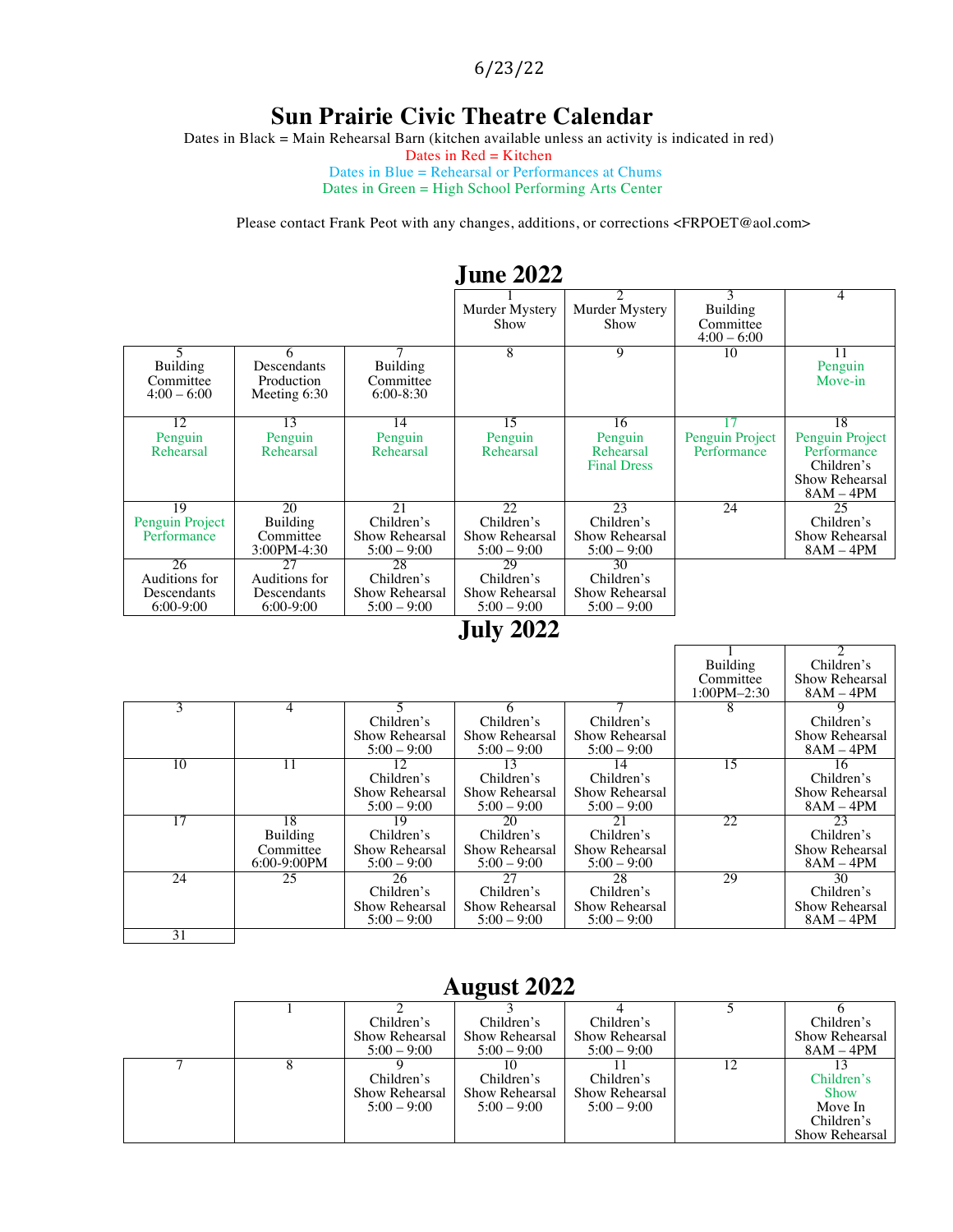6/23/22

#### **Sun Prairie Civic Theatre Calendar**

Dates in Black = Main Rehearsal Barn (kitchen available unless an activity is indicated in red)

Dates in Red = Kitchen

Dates in Blue = Rehearsal or Performances at Chums Dates in Green = High School Performing Arts Center

Please contact Frank Peot with any changes, additions, or corrections <FRPOET@aol.com>

|                                                   |                                                   |                                                     | <b>June 2022</b>                                    |                                                     |                                             |                                                                                     |
|---------------------------------------------------|---------------------------------------------------|-----------------------------------------------------|-----------------------------------------------------|-----------------------------------------------------|---------------------------------------------|-------------------------------------------------------------------------------------|
|                                                   |                                                   |                                                     | Murder Mystery<br>Show                              | Murder Mystery<br>Show                              | 3<br>Building<br>Committee<br>$4:00 - 6:00$ | 4                                                                                   |
| <b>Building</b><br>Committee<br>$4:00 - 6:00$     | 6<br>Descendants<br>Production<br>Meeting 6:30    | Building<br>Committee<br>$6:00-8:30$                | 8                                                   | 9                                                   | 10                                          | 11<br>Penguin<br>Move-in                                                            |
| 12<br>Penguin<br>Rehearsal                        | 13<br>Penguin<br>Rehearsal                        | 14<br>Penguin<br>Rehearsal                          | 15<br>Penguin<br>Rehearsal                          | 16<br>Penguin<br>Rehearsal<br><b>Final Dress</b>    | Penguin Project<br>Performance              | 18<br>Penguin Project<br>Performance<br>Children's<br>Show Rehearsal<br>$8AM - 4PM$ |
| 19<br>Penguin Project<br>Performance              | 20<br><b>Building</b><br>Committee<br>3:00PM-4:30 | 21<br>Children's<br>Show Rehearsal<br>$5:00 - 9:00$ | 22<br>Children's<br>Show Rehearsal<br>$5:00 - 9:00$ | 23<br>Children's<br>Show Rehearsal<br>$5:00 - 9:00$ | 24                                          | 25<br>Children's<br>Show Rehearsal<br>$8AM - 4PM$                                   |
| 26<br>Auditions for<br>Descendants<br>$6:00-9:00$ | 27<br>Auditions for<br>Descendants<br>$6:00-9:00$ | 28<br>Children's<br>Show Rehearsal<br>$5:00 - 9:00$ | 29<br>Children's<br>Show Rehearsal<br>$5:00 - 9:00$ | 30<br>Children's<br>Show Rehearsal<br>$5:00 - 9:00$ |                                             |                                                                                     |

### **July 2022**

|    |                |                |                |                |                 | $\mathfrak{D}$ |
|----|----------------|----------------|----------------|----------------|-----------------|----------------|
|    |                |                |                |                | Building        | Children's     |
|    |                |                |                |                | Committee       | Show Rehearsal |
|    |                |                |                |                | $1:00PM - 2:30$ | $8AM - 4PM$    |
| 3  | 4              |                |                |                |                 |                |
|    |                | Children's     | Children's     | Children's     |                 | Children's     |
|    |                | Show Rehearsal | Show Rehearsal | Show Rehearsal |                 | Show Rehearsal |
|    |                | $5:00 - 9:00$  | $5:00 - 9:00$  | $5:00 - 9:00$  |                 | $8AM - 4PM$    |
| 10 | 11             | 12             | 13             | 14             | 15              | 16             |
|    |                | Children's     | Children's     | Children's     |                 | Children's     |
|    |                | Show Rehearsal | Show Rehearsal | Show Rehearsal |                 | Show Rehearsal |
|    |                | $5:00 - 9:00$  | $5:00 - 9:00$  | $5:00 - 9:00$  |                 | $8AM - 4PM$    |
| 17 | 18             | 19             | 20             | 21             | 22              | 23             |
|    | Building       | Children's     | Children's     | Children's     |                 | Children's     |
|    | Committee      | Show Rehearsal | Show Rehearsal | Show Rehearsal |                 | Show Rehearsal |
|    | $6:00-9:00$ PM | $5:00 - 9:00$  | $5:00 - 9:00$  | $5:00 - 9:00$  |                 | $8AM - 4PM$    |
| 24 | 25             | 26             | 27             | 28             | 29              | 30             |
|    |                | Children's     | Children's     | Children's     |                 | Children's     |
|    |                | Show Rehearsal | Show Rehearsal | Show Rehearsal |                 | Show Rehearsal |
|    |                | $5:00 - 9:00$  | $5:00 - 9:00$  | $5:00 - 9:00$  |                 | $8AM - 4PM$    |
| 31 |                |                |                |                |                 |                |

#### **August 2022**

|  | Children's     | Children's     | Children's     | Children's     |
|--|----------------|----------------|----------------|----------------|
|  | Show Rehearsal | Show Rehearsal | Show Rehearsal | Show Rehearsal |
|  | $5:00 - 9:00$  | $5:00 - 9:00$  | $5:00 - 9:00$  | $8AM - 4PM$    |
|  |                |                |                |                |
|  | Children's     | Children's     | Children's     | Children's     |
|  | Show Rehearsal | Show Rehearsal | Show Rehearsal | <b>Show</b>    |
|  | $5:00 - 9:00$  | $5:00 - 9:00$  | $5:00 - 9:00$  | Move In        |
|  |                |                |                | Children's     |
|  |                |                |                | Show Rehearsal |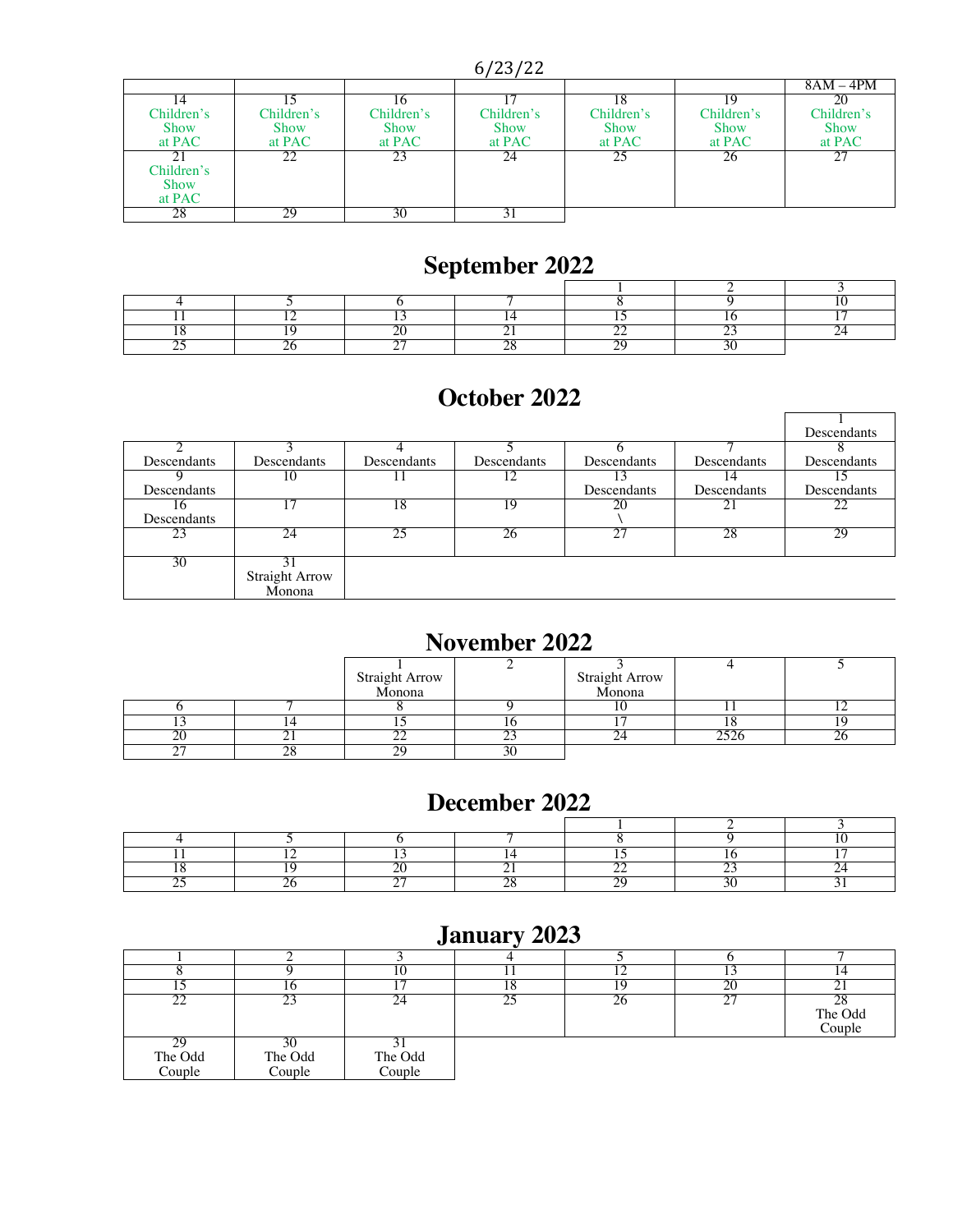6/23/22

|             |             |             |             |             |             | 8AM – 4PM   |
|-------------|-------------|-------------|-------------|-------------|-------------|-------------|
|             |             |             |             |             |             | 20          |
| Children's  | Children's  | Children's  | Children's  | Children's  | Children's  | Children's  |
| <b>Show</b> | <b>Show</b> | <b>Show</b> | <b>Show</b> | <b>Show</b> | <b>Show</b> | <b>Show</b> |
| at PAC      | at PAC      | at PAC      | at PAC      | at PAC      | at PAC      | at PAC      |
|             | 22          | 23          | 24          | 25          | 26          | 27          |
| Children's  |             |             |             |             |             |             |
| Show        |             |             |             |             |             |             |
| at PAC      |             |             |             |             |             |             |
| 28          | 29          | 30          |             |             |             |             |

# **September 2022**

### **October 2022**

|             |                       |             |             |             |             | Descendants |
|-------------|-----------------------|-------------|-------------|-------------|-------------|-------------|
|             |                       |             |             |             |             |             |
| Descendants | Descendants           | Descendants | Descendants | Descendants | Descendants | Descendants |
|             | 10                    |             |             |             | 14          |             |
| Descendants |                       |             |             | Descendants | Descendants | Descendants |
| 10          |                       | 18          | 19          | 20          | 21          | 22          |
| Descendants |                       |             |             |             |             |             |
| 23          | 24                    | 25          | 26          | 27          | 28          | 29          |
|             |                       |             |             |             |             |             |
| 30          |                       |             |             |             |             |             |
|             | <b>Straight Arrow</b> |             |             |             |             |             |
|             | Monona                |             |             |             |             |             |

### **November 2022**

|               |     | Straight Arrow<br>Monona |    | Straight Arrow<br>Monona |     |  |
|---------------|-----|--------------------------|----|--------------------------|-----|--|
|               |     |                          |    |                          |     |  |
|               |     |                          |    |                          |     |  |
|               |     |                          |    |                          |     |  |
| n٢<br>∠∪      |     | ~<br>∸                   |    | --                       | ara |  |
| $\sim$ $\sim$ | ን ር | ^.                       | วเ |                          |     |  |

### **December 2022**

# **January 2023**

|                   |                   |                   |    | . . |          |                         |
|-------------------|-------------------|-------------------|----|-----|----------|-------------------------|
|                   | 1 Ω               |                   | ıυ |     | $\Delta$ | . .                     |
| --                | 23                |                   | つく | 26  | ì<br>∼   | 28<br>The Odd<br>Couple |
| The Odd<br>Couple | The Odd<br>Couple | The Odd<br>Couple |    |     |          |                         |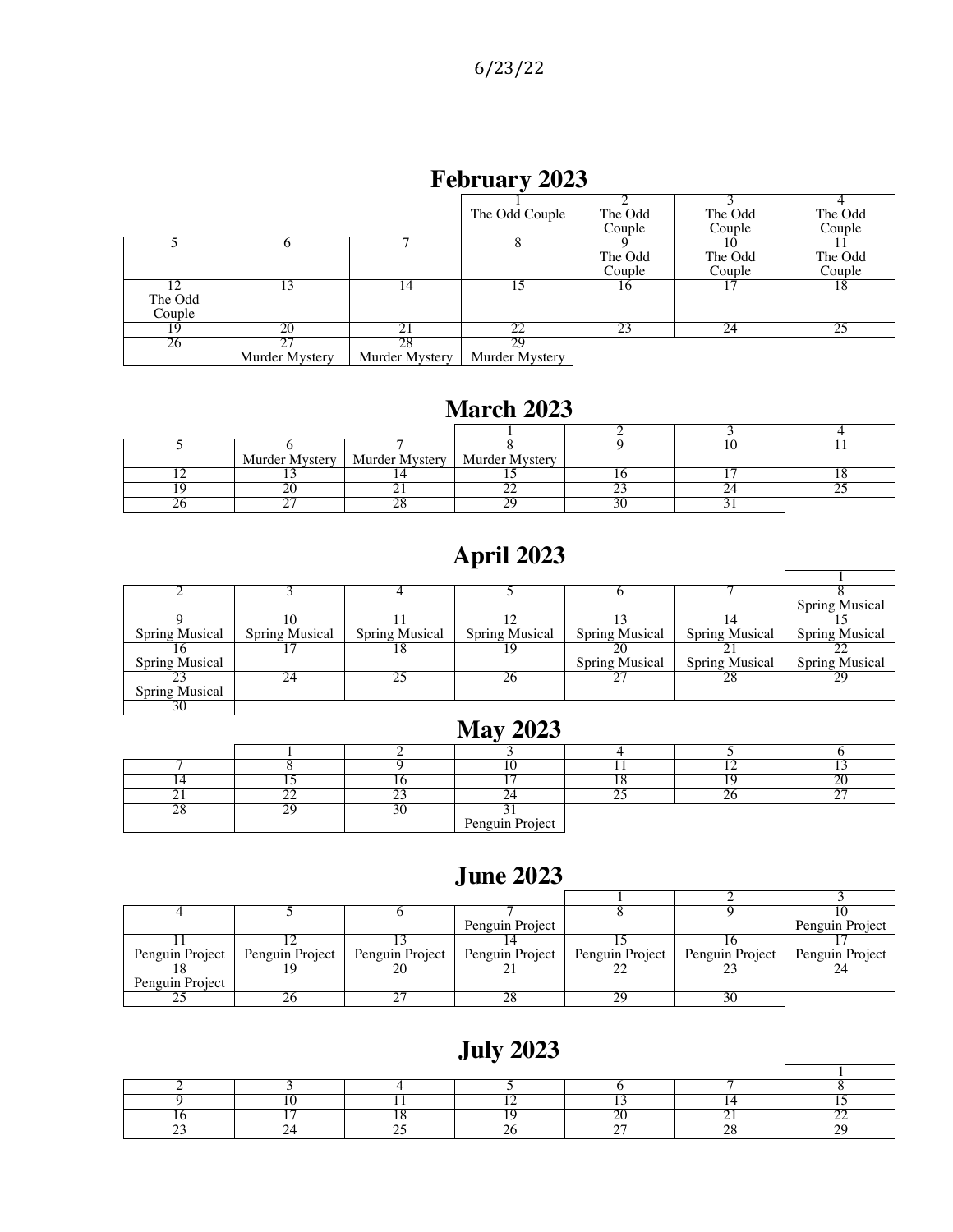### **February 2023**

|         |                |                | The Odd Couple | The Odd<br>Couple | The Odd<br>Couple | The Odd<br>Couple |
|---------|----------------|----------------|----------------|-------------------|-------------------|-------------------|
|         |                |                |                |                   |                   |                   |
|         |                |                |                | The Odd           | The Odd           | The Odd           |
|         |                |                |                | Couple            | Couple            | Couple            |
|         |                | 14             |                | 16                |                   | 18                |
| The Odd |                |                |                |                   |                   |                   |
| Couple  |                |                |                |                   |                   |                   |
| 19      | 20             | 21             | 22             | 23                | 24                | 25                |
| 26      |                | 28             | 29             |                   |                   |                   |
|         | Murder Mystery | Murder Mystery | Murder Mystery |                   |                   |                   |

### **March 2023**

|  | Murder Mystery   Murder Mystery   Murder Mystery |  |  |
|--|--------------------------------------------------|--|--|
|  |                                                  |  |  |
|  |                                                  |  |  |
|  |                                                  |  |  |

# **April 2023**

|                       |                |                       |                       |                       |                       | <b>Spring Musical</b> |
|-----------------------|----------------|-----------------------|-----------------------|-----------------------|-----------------------|-----------------------|
|                       |                |                       |                       |                       |                       |                       |
| <b>Spring Musical</b> | Spring Musical | <b>Spring Musical</b> | <b>Spring Musical</b> | <b>Spring Musical</b> | <b>Spring Musical</b> | <b>Spring Musical</b> |
|                       |                | 18                    | 19                    | 20                    |                       |                       |
| <b>Spring Musical</b> |                |                       |                       | <b>Spring Musical</b> | <b>Spring Musical</b> | <b>Spring Musical</b> |
|                       | 24             |                       | 26                    |                       | 28                    | 29                    |
| <b>Spring Musical</b> |                |                       |                       |                       |                       |                       |
| 30                    |                |                       |                       |                       |                       |                       |

## **May 2023**

|        | ~~ |                 | $\sim$ $\sim$ | $\sim$ $-$ |
|--------|----|-----------------|---------------|------------|
| $\sim$ | n٢ |                 |               |            |
|        |    | Penguin Project |               |            |

#### **June 2023**

|                 |                                                     | Penguin Project |                                   | Penguin Project |
|-----------------|-----------------------------------------------------|-----------------|-----------------------------------|-----------------|
|                 |                                                     |                 |                                   |                 |
|                 | Penguin Project   Penguin Project   Penguin Project | Penguin Project | Penguin Project   Penguin Project | Penguin Project |
|                 |                                                     |                 |                                   |                 |
| Penguin Project |                                                     |                 |                                   |                 |
|                 |                                                     |                 |                                   |                 |

# **July 2023**

 $\overline{1}$ 

 $\blacksquare$